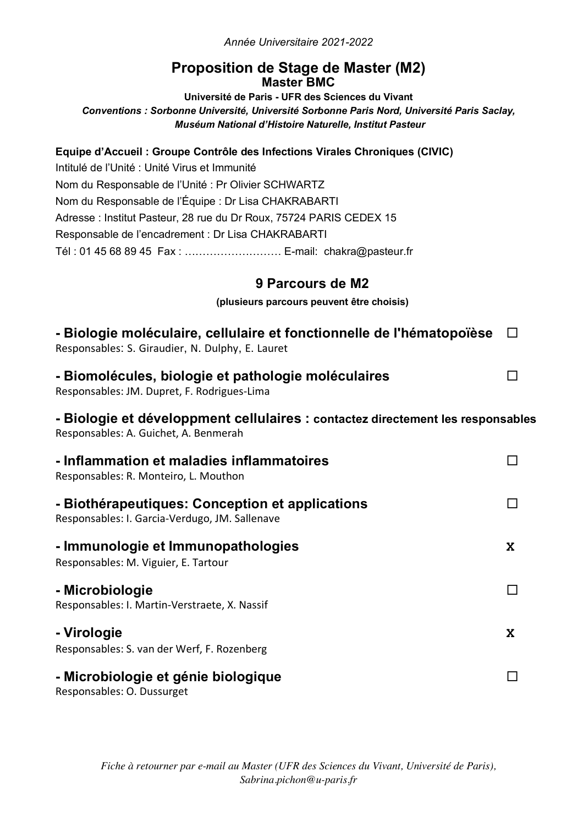*Année Universitaire 2021-2022*

## **Proposition de Stage de Master (M2) Master BMC**

**Université de Paris - UFR des Sciences du Vivant** *Conventions : Sorbonne Université, Université Sorbonne Paris Nord, Université Paris Saclay, Muséum National d'Histoire Naturelle, Institut Pasteur*

## **Equipe d'Accueil : Groupe Contrôle des Infections Virales Chroniques (CIVIC)**

Intitulé de l'Unité : Unité Virus et Immunité Nom du Responsable de l'Unité : Pr Olivier SCHWARTZ Nom du Responsable de l'Équipe : Dr Lisa CHAKRABARTI Adresse : Institut Pasteur, 28 rue du Dr Roux, 75724 PARIS CEDEX 15 Responsable de l'encadrement : Dr Lisa CHAKRABARTI Tél : 01 45 68 89 45 Fax : ……………………… E-mail: chakra@pasteur.fr

# **9 Parcours de M2**

#### **(plusieurs parcours peuvent être choisis)**

| - Biologie moléculaire, cellulaire et fonctionnelle de l'hématopoïèse<br>Responsables: S. Giraudier, N. Dulphy, E. Lauret |             |
|---------------------------------------------------------------------------------------------------------------------------|-------------|
| - Biomolécules, biologie et pathologie moléculaires<br>Responsables: JM. Dupret, F. Rodrigues-Lima                        | $\Box$      |
| - Biologie et développment cellulaires : contactez directement les responsables<br>Responsables: A. Guichet, A. Benmerah  |             |
| - Inflammation et maladies inflammatoires<br>Responsables: R. Monteiro, L. Mouthon                                        | П           |
| - Biothérapeutiques: Conception et applications<br>Responsables: I. Garcia-Verdugo, JM. Sallenave                         | П           |
| - Immunologie et Immunopathologies<br>Responsables: M. Viguier, E. Tartour                                                | X           |
| - Microbiologie<br>Responsables: I. Martin-Verstraete, X. Nassif                                                          | П           |
| - Virologie<br>Responsables: S. van der Werf, F. Rozenberg                                                                | $\mathbf x$ |
| - Microbiologie et génie biologique<br>Responsables: O. Dussurget                                                         |             |